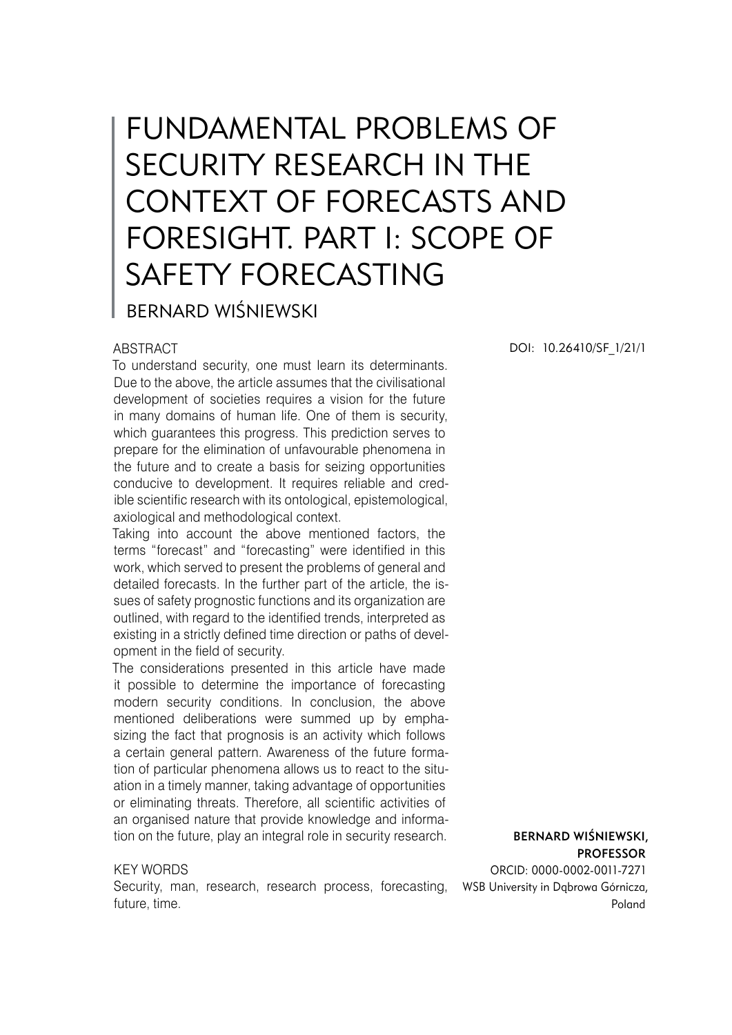# FUNDAMENTAL PROBLEMS OF SECURITY RESEARCH IN THE CONTEXT OF FORECASTS AND FORESIGHT. PART I: SCOPE OF SAFETY FORECASTING

## BERNARD WIŚNIEWSKI

#### ABSTRACT

To understand security, one must learn its determinants. Due to the above, the article assumes that the civilisational development of societies requires a vision for the future in many domains of human life. One of them is security, which guarantees this progress. This prediction serves to prepare for the elimination of unfavourable phenomena in the future and to create a basis for seizing opportunities conducive to development. It requires reliable and credible scientific research with its ontological, epistemological, axiological and methodological context.

Taking into account the above mentioned factors, the terms "forecast" and "forecasting" were identified in this work, which served to present the problems of general and detailed forecasts. In the further part of the article, the issues of safety prognostic functions and its organization are outlined, with regard to the identified trends, interpreted as existing in a strictly defined time direction or paths of development in the field of security.

The considerations presented in this article have made it possible to determine the importance of forecasting modern security conditions. In conclusion, the above mentioned deliberations were summed up by emphasizing the fact that prognosis is an activity which follows a certain general pattern. Awareness of the future formation of particular phenomena allows us to react to the situation in a timely manner, taking advantage of opportunities or eliminating threats. Therefore, all scientific activities of an organised nature that provide knowledge and information on the future, play an integral role in security research.

#### KEY WORDS

Security, man, research, research process, forecasting, WSB University in Dąbrowa Górnicza, future, time.

DOI: 10.26410/SF\_1/21/1

Bernard Wiśniewski, **PROFESSOR** 

ORCID: 0000-0002-0011-7271 Poland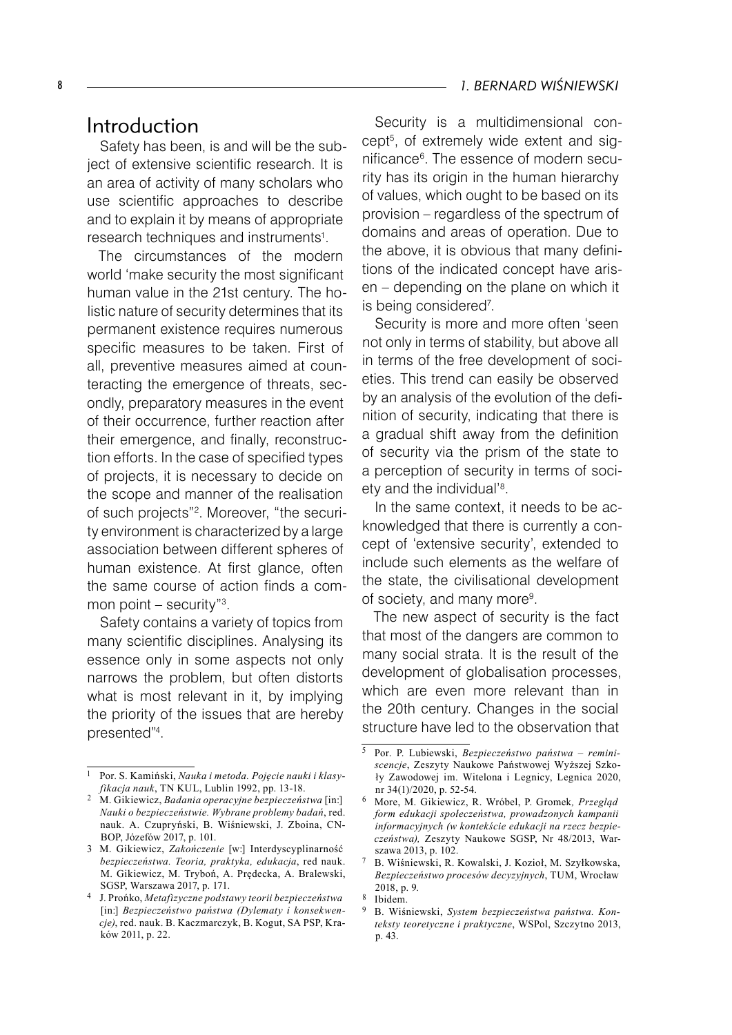### Introduction

Safety has been, is and will be the subject of extensive scientific research. It is an area of activity of many scholars who use scientific approaches to describe and to explain it by means of appropriate research techniques and instruments .

The circumstances of the modern world 'make security the most significant human value in the 21st century. The holistic nature of security determines that its permanent existence requires numerous specific measures to be taken. First of all, preventive measures aimed at counteracting the emergence of threats, secondly, preparatory measures in the event of their occurrence, further reaction after their emergence, and finally, reconstruction efforts. In the case of specified types of projects, it is necessary to decide on the scope and manner of the realisation of such projects"<sup>2</sup>. Moreover, "the security environment is characterized by a large association between different spheres of human existence. At first glance, often the same course of action finds a common point – security" .

Safety contains a variety of topics from many scientific disciplines. Analysing its essence only in some aspects not only narrows the problem, but often distorts what is most relevant in it, by implying the priority of the issues that are hereby presented" .

Security is a multidimensional concept , of extremely wide extent and significance . The essence of modern security has its origin in the human hierarchy of values, which ought to be based on its provision – regardless of the spectrum of domains and areas of operation. Due to the above, it is obvious that many definitions of the indicated concept have arisen – depending on the plane on which it is being considered .

Security is more and more often 'seen not only in terms of stability, but above all in terms of the free development of societies. This trend can easily be observed by an analysis of the evolution of the definition of security, indicating that there is a gradual shift away from the definition of security via the prism of the state to a perception of security in terms of society and the individual' .

In the same context, it needs to be acknowledged that there is currently a concept of 'extensive security', extended to include such elements as the welfare of the state, the civilisational development of society, and many more .

The new aspect of security is the fact that most of the dangers are common to many social strata. It is the result of the development of globalisation processes, which are even more relevant than in the 20th century. Changes in the social structure have led to the observation that

Por. S. Kamiński, *Nauka i metoda. Pojęcie nauki i klasyfikacja nauk*, TN KUL, Lublin 1992, pp. 13-18.

M. Gikiewicz, *Badania operacyjne bezpieczeństwa* [in:] *Nauki o bezpieczeństwie. Wybrane problemy badań*, red. nauk. A. Czupryński, B. Wiśniewski, J. Zboina, CN-BOP, Józefów 2017, p. 101.

M. Gikiewicz, *Zakończenie* [w:] Interdyscyplinarność *bezpieczeństwa. Teoria, praktyka, edukacja*, red nauk. M. Gikiewicz, M. Tryboń, A. Prędecka, A. Bralewski, SGSP, Warszawa 2017, p. 171.

J. Prońko, *Metafizyczne podstawy teorii bezpieczeństwa* [in:] *Bezpieczeństwo państwa (Dylematy i konsekwencje)*, red. nauk. B. Kaczmarczyk, B. Kogut, SA PSP, Kraków 2011, p. 22.

Por. P. Lubiewski, *Bezpieczeństwo państwa – reminiscencje*, Zeszyty Naukowe Państwowej Wyższej Szkoły Zawodowej im. Witelona i Legnicy, Legnica 2020, nr 34(1)/2020, p. 52-54.

More, M. Gikiewicz, R. Wróbel, P. Gromek*, Przegląd form edukacji społeczeństwa, prowadzonych kampanii informacyjnych (w kontekście edukacji na rzecz bezpieczeństwa),* Zeszyty Naukowe SGSP, Nr 48/2013, Warszawa 2013, p. 102.

B. Wiśniewski, R. Kowalski, J. Kozioł, M. Szyłkowska, *Bezpieczeństwo procesów decyzyjnych*, TUM, Wrocław 2018, p. 9.

 $rac{8}{9}$  Ibidem.

B. Wiśniewski, *System bezpieczeństwa państwa. Konteksty teoretyczne i praktyczne*, WSPol, Szczytno 2013, p. 43.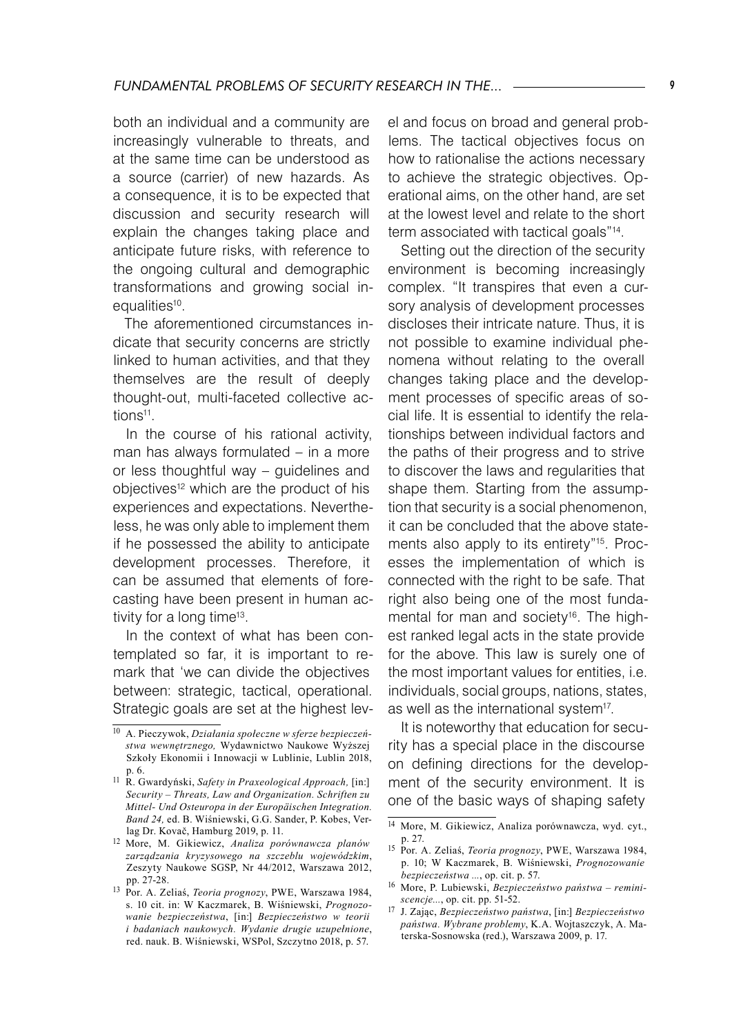both an individual and a community are increasingly vulnerable to threats, and at the same time can be understood as a source (carrier) of new hazards. As a consequence, it is to be expected that discussion and security research will explain the changes taking place and anticipate future risks, with reference to the ongoing cultural and demographic transformations and growing social inequalities<sup>10</sup>.

The aforementioned circumstances indicate that security concerns are strictly linked to human activities, and that they themselves are the result of deeply thought-out, multi-faceted collective actions<sup>11</sup>.

In the course of his rational activity, man has always formulated – in a more or less thoughtful way – guidelines and objectives<sup>12</sup> which are the product of his experiences and expectations. Nevertheless, he was only able to implement them if he possessed the ability to anticipate development processes. Therefore, it can be assumed that elements of forecasting have been present in human activity for a long time $13$ .

In the context of what has been contemplated so far, it is important to remark that 'we can divide the objectives between: strategic, tactical, operational. Strategic goals are set at the highest level and focus on broad and general problems. The tactical objectives focus on how to rationalise the actions necessary to achieve the strategic objectives. Operational aims, on the other hand, are set at the lowest level and relate to the short term associated with tactical goals"14.

Setting out the direction of the security environment is becoming increasingly complex. "It transpires that even a cursory analysis of development processes discloses their intricate nature. Thus, it is not possible to examine individual phenomena without relating to the overall changes taking place and the development processes of specific areas of social life. It is essential to identify the relationships between individual factors and the paths of their progress and to strive to discover the laws and regularities that shape them. Starting from the assumption that security is a social phenomenon, it can be concluded that the above statements also apply to its entirety"<sup>15</sup>. Processes the implementation of which is connected with the right to be safe. That right also being one of the most fundamental for man and society<sup>16</sup>. The highest ranked legal acts in the state provide for the above. This law is surely one of the most important values for entities, i.e. individuals, social groups, nations, states, as well as the international system<sup>17</sup>.

It is noteworthy that education for security has a special place in the discourse on defining directions for the development of the security environment. It is one of the basic ways of shaping safety

<sup>10</sup> A. Pieczywok, *Działania społeczne w sferze bezpieczeństwa wewnętrznego,* Wydawnictwo Naukowe Wyższej Szkoły Ekonomii i Innowacji w Lublinie, Lublin 2018, p. 6.

<sup>11</sup> R. Gwardyński, *Safety in Praxeological Approach,* [in:] *Security – Threats, Law and Organization. Schriften zu Mittel- Und Osteuropa in der Europäischen Integration. Band 24,* ed. B. Wiśniewski, G.G. Sander, P. Kobes, Verlag Dr. Kovač, Hamburg 2019, p. 11.

<sup>12</sup> More, M. Gikiewicz, *Analiza porównawcza planów zarządzania kryzysowego na szczeblu wojewódzkim*, Zeszyty Naukowe SGSP, Nr 44/2012, Warszawa 2012, pp. 27-28.

<sup>13</sup> Por. A. Zeliaś, *Teoria prognozy*, PWE, Warszawa 1984, s. 10 cit. in: W Kaczmarek, B. Wiśniewski, *Prognozowanie bezpieczeństwa*, [in:] *Bezpieczeństwo w teorii i badaniach naukowych. Wydanie drugie uzupełnione*, red. nauk. B. Wiśniewski, WSPol, Szczytno 2018, p. 57.

<sup>14</sup> More, M. Gikiewicz, Analiza porównawcza, wyd. cyt., p. 27.

<sup>15</sup> Por. A. Zeliaś, *Teoria prognozy*, PWE, Warszawa 1984, p. 10; W Kaczmarek, B. Wiśniewski, *Prognozowanie bezpieczeństwa ...*, op. cit. p. 57.

<sup>16</sup> More, P. Lubiewski, *Bezpieczeństwo państwa – reminiscencje...*, op. cit. pp. 51-52.

<sup>17</sup> J. Zając, *Bezpieczeństwo państwa*, [in:] *Bezpieczeństwo państwa. Wybrane problemy*, K.A. Wojtaszczyk, A. Materska-Sosnowska (red.), Warszawa 2009, p. 17.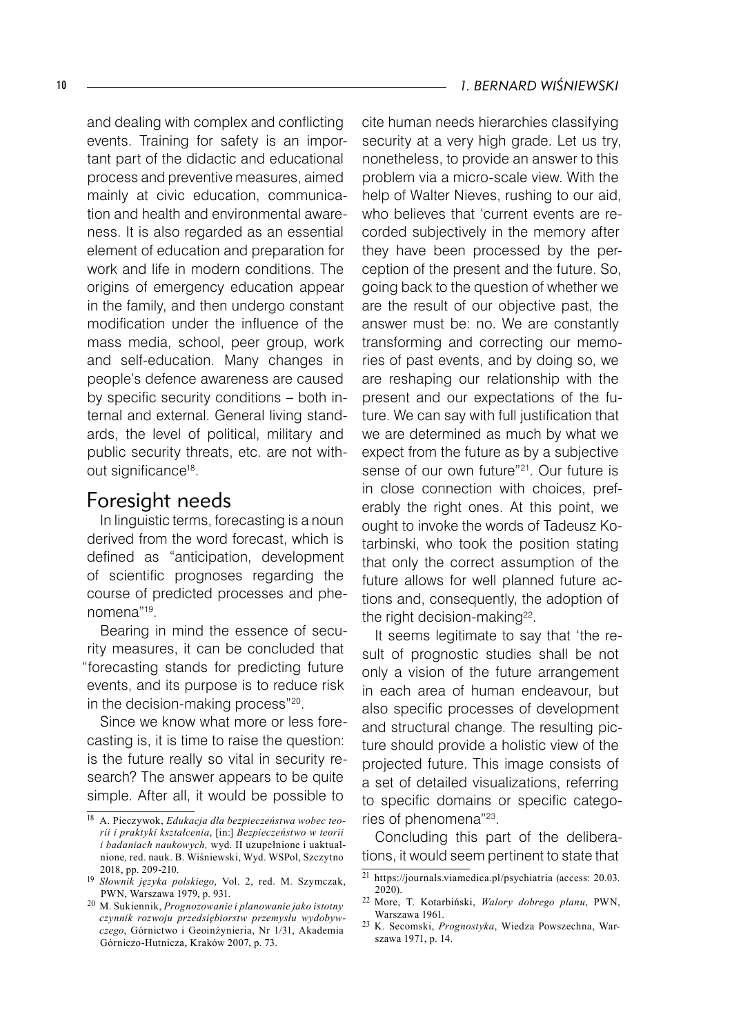and dealing with complex and conflicting events. Training for safety is an important part of the didactic and educational process and preventive measures, aimed mainly at civic education, communication and health and environmental awareness. It is also regarded as an essential element of education and preparation for work and life in modern conditions. The origins of emergency education appear in the family, and then undergo constant modification under the influence of the mass media, school, peer group, work and self-education. Many changes in people's defence awareness are caused by specific security conditions – both internal and external. General living standards, the level of political, military and public security threats, etc. are not without significance<sup>18</sup>.

### Foresight needs

In linguistic terms, forecasting is a noun derived from the word forecast, which is defined as "anticipation, development of scientific prognoses regarding the course of predicted processes and phenomena"19.

Bearing in mind the essence of security measures, it can be concluded that "forecasting stands for predicting future events, and its purpose is to reduce risk in the decision-making process"20.

Since we know what more or less forecasting is, it is time to raise the question: is the future really so vital in security research? The answer appears to be quite simple. After all, it would be possible to

cite human needs hierarchies classifying security at a very high grade. Let us try, nonetheless, to provide an answer to this problem via a micro-scale view. With the help of Walter Nieves, rushing to our aid, who believes that 'current events are recorded subjectively in the memory after they have been processed by the perception of the present and the future. So, going back to the question of whether we are the result of our objective past, the answer must be: no. We are constantly transforming and correcting our memories of past events, and by doing so, we are reshaping our relationship with the present and our expectations of the future. We can say with full justification that we are determined as much by what we expect from the future as by a subjective sense of our own future"<sup>21</sup>. Our future is in close connection with choices, preferably the right ones. At this point, we ought to invoke the words of Tadeusz Kotarbinski, who took the position stating that only the correct assumption of the future allows for well planned future actions and, consequently, the adoption of the right decision-making $22$ .

It seems legitimate to say that 'the result of prognostic studies shall be not only a vision of the future arrangement in each area of human endeavour, but also specific processes of development and structural change. The resulting picture should provide a holistic view of the projected future. This image consists of a set of detailed visualizations, referring to specific domains or specific categories of phenomena"<sup>23</sup>.

Concluding this part of the deliberations, it would seem pertinent to state that

<sup>18</sup> A. Pieczywok, *Edukacja dla bezpieczeństwa wobec teorii i praktyki kształcenia*, [in:] *Bezpieczeństwo w teorii i badaniach naukowych,* wyd. II uzupełnione i uaktualnione*,* red. nauk. B. Wiśniewski, Wyd. WSPol, Szczytno 2018, pp. 209-210.

<sup>19</sup> *Słownik języka polskiego*, Vol. 2, red. M. Szymczak, PWN, Warszawa 1979, p. 931.

<sup>20</sup> M. Sukiennik, *Prognozowanie i planowanie jako istotny czynnik rozwoju przedsiębiorstw przemysłu wydobywczego*, Górnictwo i Geoinżynieria, Nr 1/31, Akademia Górniczo-Hutnicza, Kraków 2007, p. 73.

https://journals.viamedica.pl/psychiatria (access: 20.03.  $2020$ ).

<sup>22</sup> More, T. Kotarbiński, *Walory dobrego planu*, PWN, Warszawa 1961.

<sup>23</sup> K. Secomski, *Prognostyka*, Wiedza Powszechna, Warszawa 1971, p. 14.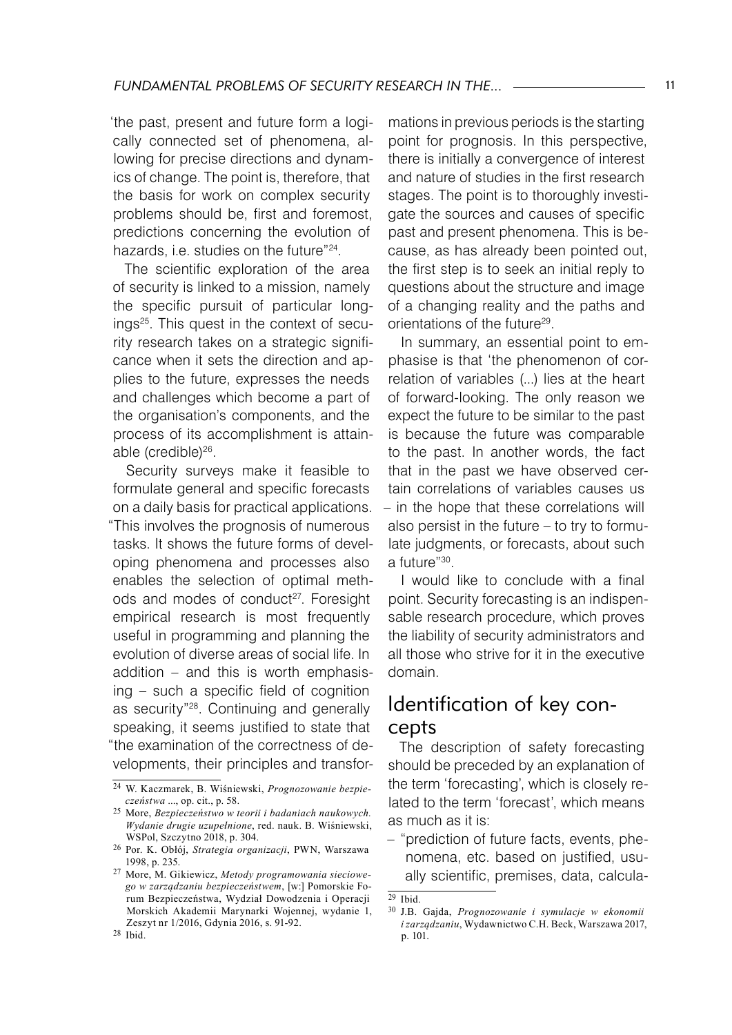'the past, present and future form a logically connected set of phenomena, allowing for precise directions and dynamics of change. The point is, therefore, that the basis for work on complex security problems should be, first and foremost, predictions concerning the evolution of hazards, i.e. studies on the future"24 .

The scientific exploration of the area of security is linked to a mission, namely the specific pursuit of particular longings25 . This quest in the context of security research takes on a strategic significance when it sets the direction and applies to the future, expresses the needs and challenges which become a part of the organisation's components, and the process of its accomplishment is attainable (credible)26 .

Security surveys make it feasible to formulate general and specific forecasts on a daily basis for practical applications. "This involves the prognosis of numerous tasks. It shows the future forms of developing phenomena and processes also enables the selection of optimal methods and modes of conduct<sup>27</sup>. Foresight empirical research is most frequently useful in programming and planning the evolution of diverse areas of social life. In addition – and this is worth emphasising – such a specific field of cognition as security"<sup>28</sup>. Continuing and generally speaking, it seems justified to state that "the examination of the correctness of developments, their principles and transformations in previous periods is the starting point for prognosis. In this perspective, there is initially a convergence of interest and nature of studies in the first research stages. The point is to thoroughly investigate the sources and causes of specific past and present phenomena. This is because, as has already been pointed out, the first step is to seek an initial reply to questions about the structure and image of a changing reality and the paths and orientations of the future<sup>29</sup>.

In summary, an essential point to emphasise is that 'the phenomenon of correlation of variables (...) lies at the heart of forward-looking. The only reason we expect the future to be similar to the past is because the future was comparable to the past. In another words, the fact that in the past we have observed certain correlations of variables causes us – in the hope that these correlations will also persist in the future – to try to formulate judgments, or forecasts, about such a future"30 .

I would like to conclude with a final point. Security forecasting is an indispensable research procedure, which proves the liability of security administrators and all those who strive for it in the executive domain.

# Identification of key concepts

The description of safety forecasting should be preceded by an explanation of the term 'forecasting', which is closely related to the term 'forecast', which means as much as it is:

- "prediction of future facts, events, phenomena, etc. based on justified, usually scientific, premises, data, calcula-

<sup>24</sup> W. Kaczmarek, B. Wiśniewski, *Prognozowanie bezpieczeństwa* ..., op. cit., p. 58.

<sup>25</sup> More, *Bezpieczeństwo w teorii i badaniach naukowych. Wydanie drugie uzupełnione*, red. nauk. B. Wiśniewski, WSPol, Szczytno 2018, p. 304.

<sup>26</sup> Por. K. Obłój, *Strategia organizacji*, PWN, Warszawa 1998, p. 235.

<sup>27</sup> More, M. Gikiewicz, *Metody programowania sieciowego w zarządzaniu bezpieczeństwem*, [w:] Pomorskie Forum Bezpieczeństwa, Wydział Dowodzenia i Operacji Morskich Akademii Marynarki Wojennej, wydanie 1, Zeszyt nr 1/2016, Gdynia 2016, s. 91-92.

 $\overline{^{29}}$  Ibid.

<sup>30</sup> J.B. Gajda, *Prognozowanie i symulacje w ekonomii i zarządzaniu*, Wydawnictwo C.H. Beck, Warszawa 2017, p. 101.

<sup>28</sup> Ibid.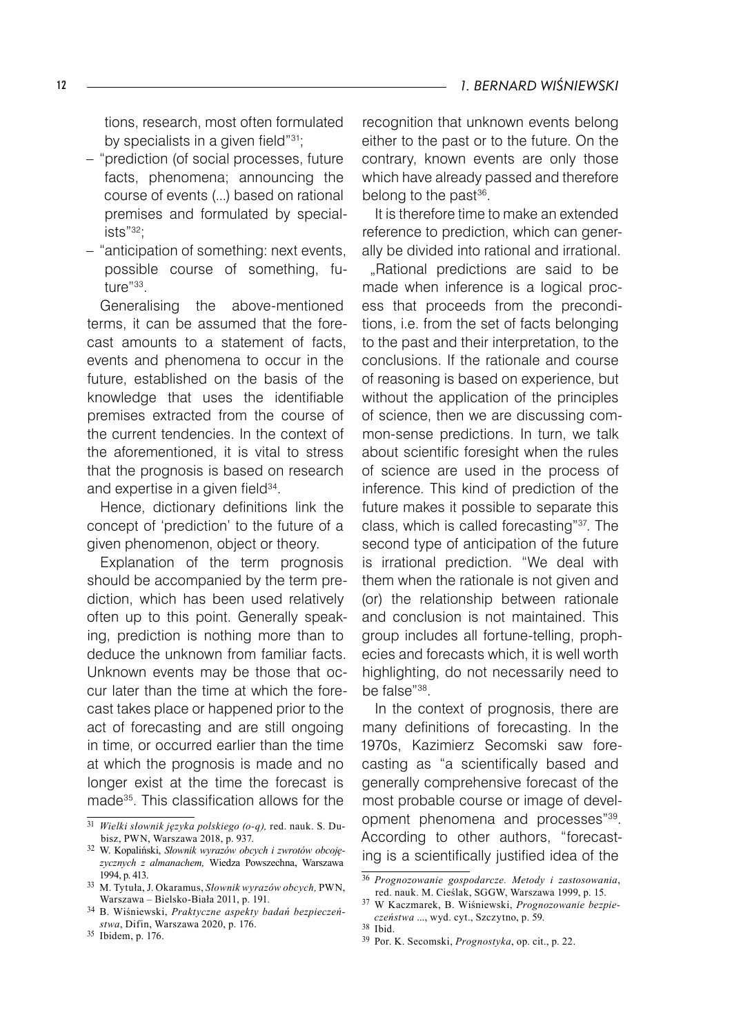tions, research, most often formulated by specialists in a given field"<sup>31</sup>:

- "prediction (of social processes, future facts, phenomena; announcing the course of events (...) based on rational premises and formulated by specialists"32 ;
- "anticipation of something: next events, possible course of something, future"33.

Generalising the above-mentioned terms, it can be assumed that the forecast amounts to a statement of facts, events and phenomena to occur in the future, established on the basis of the knowledge that uses the identifiable premises extracted from the course of the current tendencies. In the context of the aforementioned, it is vital to stress that the prognosis is based on research and expertise in a given field<sup>34</sup>.

Hence, dictionary definitions link the concept of 'prediction' to the future of a given phenomenon, object or theory.

Explanation of the term prognosis should be accompanied by the term prediction, which has been used relatively often up to this point. Generally speaking, prediction is nothing more than to deduce the unknown from familiar facts. Unknown events may be those that occur later than the time at which the forecast takes place or happened prior to the act of forecasting and are still ongoing in time, or occurred earlier than the time at which the prognosis is made and no longer exist at the time the forecast is made<sup>35</sup>. This classification allows for the

35 Ibidem, p. 176.

recognition that unknown events belong either to the past or to the future. On the contrary, known events are only those which have already passed and therefore belong to the past<sup>36</sup>.

It is therefore time to make an extended reference to prediction, which can generally be divided into rational and irrational.

"Rational predictions are said to be made when inference is a logical process that proceeds from the preconditions, i.e. from the set of facts belonging to the past and their interpretation, to the conclusions. If the rationale and course of reasoning is based on experience, but without the application of the principles of science, then we are discussing common-sense predictions. In turn, we talk about scientific foresight when the rules of science are used in the process of inference. This kind of prediction of the future makes it possible to separate this class, which is called forecasting"37. The second type of anticipation of the future is irrational prediction. "We deal with them when the rationale is not given and (or) the relationship between rationale and conclusion is not maintained. This group includes all fortune-telling, prophecies and forecasts which, it is well worth highlighting, do not necessarily need to be false"38.

In the context of prognosis, there are many definitions of forecasting. In the 1970s, Kazimierz Secomski saw forecasting as "a scientifically based and generally comprehensive forecast of the most probable course or image of development phenomena and processes"39. According to other authors, "forecasting is a scientifically justified idea of the

<sup>31</sup> *Wielki słownik języka polskiego (o-q),* red. nauk. S. Dubisz, PWN, Warszawa 2018, p. 937.

<sup>32</sup> W. Kopaliński, *Słownik wyrazów obcych i zwrotów obcojęzycznych z almanachem,* Wiedza Powszechna, Warszawa 1994, p. 413.

<sup>33</sup> M. Tytuła, J. Okaramus, *Słownik wyrazów obcych,* PWN, Warszawa – Bielsko-Biała 2011, p. 191*.*

<sup>34</sup> B. Wiśniewski, *Praktyczne aspekty badań bezpieczeństwa*, Difin, Warszawa 2020, p. 176.

<sup>36</sup> *Prognozowanie gospodarcze. Metody i zastosowania*, red. nauk. M. Cieślak, SGGW, Warszawa 1999, p. 15.

<sup>37</sup> W Kaczmarek, B. Wiśniewski, *Prognozowanie bezpieczeństwa* ..., wyd. cyt., Szczytno, p. 59.

<sup>38</sup> Ibid.

<sup>39</sup> Por. K. Secomski, *Prognostyka*, op. cit., p. 22.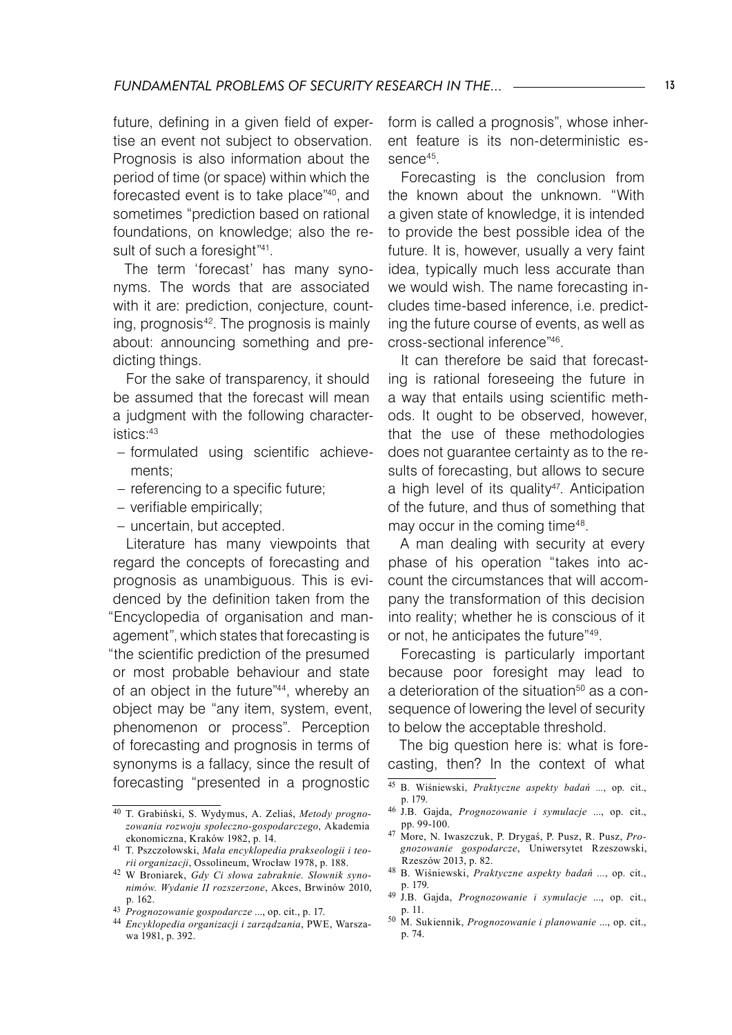future, defining in a given field of expertise an event not subject to observation. Prognosis is also information about the period of time (or space) within which the forecasted event is to take place"40 , and sometimes "prediction based on rational foundations, on knowledge; also the result of such a foresight"41.

The term 'forecast' has many synonyms. The words that are associated with it are: prediction, conjecture, counting, prognosis42 . The prognosis is mainly about: announcing something and predicting things.

For the sake of transparency, it should be assumed that the forecast will mean a judgment with the following characteristics:43

- formulated using scientific achievements;
- referencing to a specific future;
- verifiable empirically;
- uncertain, but accepted.

Literature has many viewpoints that regard the concepts of forecasting and prognosis as unambiguous. This is evidenced by the definition taken from the "Encyclopedia of organisation and management", which states that forecasting is "the scientific prediction of the presumed or most probable behaviour and state of an object in the future"<sup>44</sup>, whereby an object may be "any item, system, event, phenomenon or process". Perception of forecasting and prognosis in terms of synonyms is a fallacy, since the result of forecasting "presented in a prognostic

form is called a prognosis", whose inherent feature is its non-deterministic essence<sup>45</sup>.

Forecasting is the conclusion from the known about the unknown. "With a given state of knowledge, it is intended to provide the best possible idea of the future. It is, however, usually a very faint idea, typically much less accurate than we would wish. The name forecasting includes time-based inference, i.e. predicting the future course of events, as well as cross-sectional inference"46.

It can therefore be said that forecasting is rational foreseeing the future in a way that entails using scientific methods. It ought to be observed, however, that the use of these methodologies does not guarantee certainty as to the results of forecasting, but allows to secure a high level of its quality<sup>47</sup>. Anticipation of the future, and thus of something that may occur in the coming time<sup>48</sup>.

A man dealing with security at every phase of his operation "takes into account the circumstances that will accompany the transformation of this decision into reality; whether he is conscious of it or not, he anticipates the future"49.

Forecasting is particularly important because poor foresight may lead to a deterioration of the situation<sup>50</sup> as a consequence of lowering the level of security to below the acceptable threshold.

The big question here is: what is forecasting, then? In the context of what

<sup>40</sup> T. Grabiński, S. Wydymus, A. Zeliaś, *Metody prognozowania rozwoju społeczno-gospodarczego*, Akademia ekonomiczna, Kraków 1982, p. 14.

<sup>41</sup> T. Pszczołowski, *Mała encyklopedia prakseologii i teorii organizacji*, Ossolineum, Wrocław 1978, p. 188.

<sup>42</sup> W Broniarek, *Gdy Ci słowa zabraknie. Słownik synonimów. Wydanie II rozszerzone*, Akces, Brwinów 2010, p. 162.

<sup>43</sup> *Prognozowanie gospodarcze* ..., op. cit., p. 17.

<sup>44</sup> *Encyklopedia organizacji i zarządzania*, PWE, Warszawa 1981, p. 392.

<sup>45</sup> B. Wiśniewski, *Praktyczne aspekty badań ...*, op. cit., p. <sup>179</sup>. 46 J.B. Gajda, *Prognozowanie i symulacje* ..., op. cit.,

pp. 99-100.

<sup>47</sup> More, N. Iwaszczuk, P. Drygaś, P. Pusz, R. Pusz, *Prognozowanie gospodarcze*, Uniwersytet Rzeszowski, Rzeszów 2013, p. 82.

<sup>48</sup> B. Wiśniewski, *Praktyczne aspekty badań ...*, op. cit., p. 179.

<sup>49</sup> J.B. Gajda, *Prognozowanie i symulacje* ..., op. cit., p. 11.

<sup>50</sup> M. Sukiennik, *Prognozowanie i planowanie* ..., op. cit., p. 74.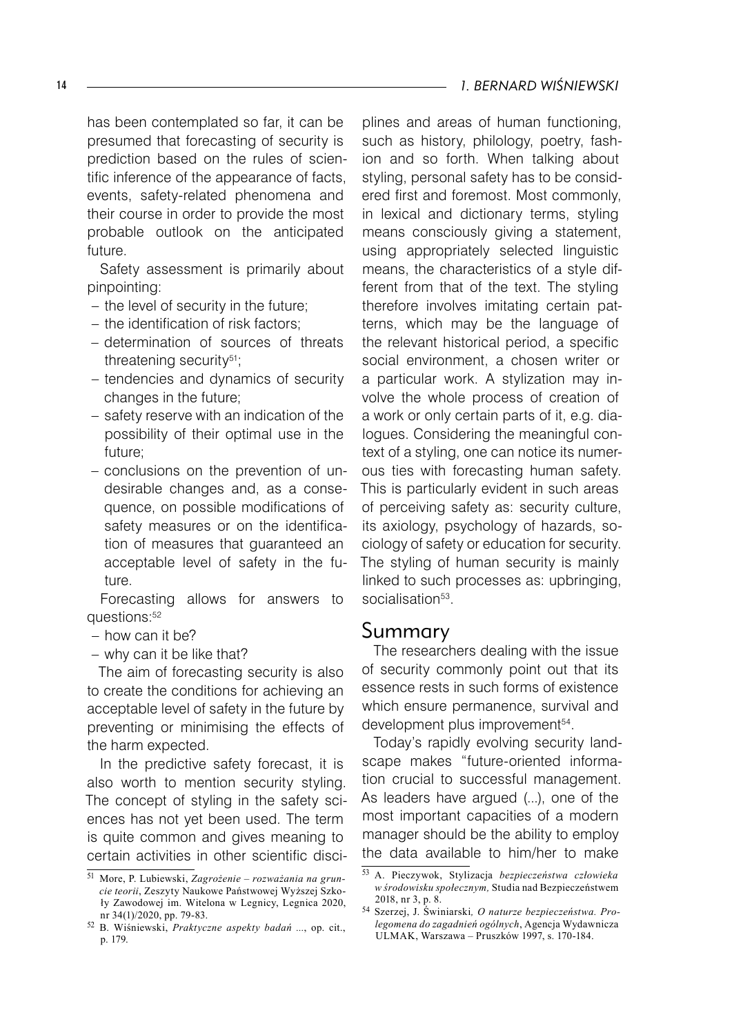has been contemplated so far, it can be presumed that forecasting of security is prediction based on the rules of scientific inference of the appearance of facts, events, safety-related phenomena and their course in order to provide the most probable outlook on the anticipated future.

Safety assessment is primarily about pinpointing:

- $-$  the level of security in the future;
- the identification of risk factors;
- determination of sources of threats threatening security<sup>51</sup>;
- tendencies and dynamics of security changes in the future;
- safety reserve with an indication of the possibility of their optimal use in the future;
- conclusions on the prevention of un-– desirable changes and, as a consequence, on possible modifications of safety measures or on the identification of measures that guaranteed an acceptable level of safety in the future.

Forecasting allows for answers to questions:52

- how can it be?
- why can it be like that?

The aim of forecasting security is also to create the conditions for achieving an acceptable level of safety in the future by preventing or minimising the effects of the harm expected.

In the predictive safety forecast, it is also worth to mention security styling. The concept of styling in the safety sciences has not yet been used. The term is quite common and gives meaning to certain activities in other scientific disci-

plines and areas of human functioning, such as history, philology, poetry, fashion and so forth. When talking about styling, personal safety has to be considered first and foremost. Most commonly, in lexical and dictionary terms, styling means consciously giving a statement, using appropriately selected linguistic means, the characteristics of a style different from that of the text. The styling therefore involves imitating certain patterns, which may be the language of the relevant historical period, a specific social environment, a chosen writer or a particular work. A stylization may involve the whole process of creation of a work or only certain parts of it, e.g. dialogues. Considering the meaningful context of a styling, one can notice its numerous ties with forecasting human safety. This is particularly evident in such areas of perceiving safety as: security culture, its axiology, psychology of hazards, sociology of safety or education for security. The styling of human security is mainly linked to such processes as: upbringing, socialisation<sup>53</sup>.

### Summary

The researchers dealing with the issue of security commonly point out that its essence rests in such forms of existence which ensure permanence, survival and development plus improvement<sup>54</sup>.

Today's rapidly evolving security landscape makes "future-oriented information crucial to successful management. As leaders have argued (...), one of the most important capacities of a modern manager should be the ability to employ the data available to him/her to make

<sup>51</sup> More, P. Lubiewski, *Zagrożenie – rozważania na gruncie teorii*, Zeszyty Naukowe Państwowej Wyższej Szkoły Zawodowej im. Witelona w Legnicy, Legnica 2020, nr 34(1)/2020, pp. 79-83.

<sup>52</sup> B. Wiśniewski, *Praktyczne aspekty badań ...*, op. cit., p. 179.

<sup>53</sup> A. Pieczywok, Stylizacja *bezpieczeństwa człowieka w środowisku społecznym,* Studia nad Bezpieczeństwem 2018, nr 3, p. 8.

<sup>54</sup> Szerzej, J. Świniarski*, O naturze bezpieczeństwa. Prolegomena do zagadnień ogólnych*, Agencja Wydawnicza ULMAK, Warszawa – Pruszków 1997, s. 170-184.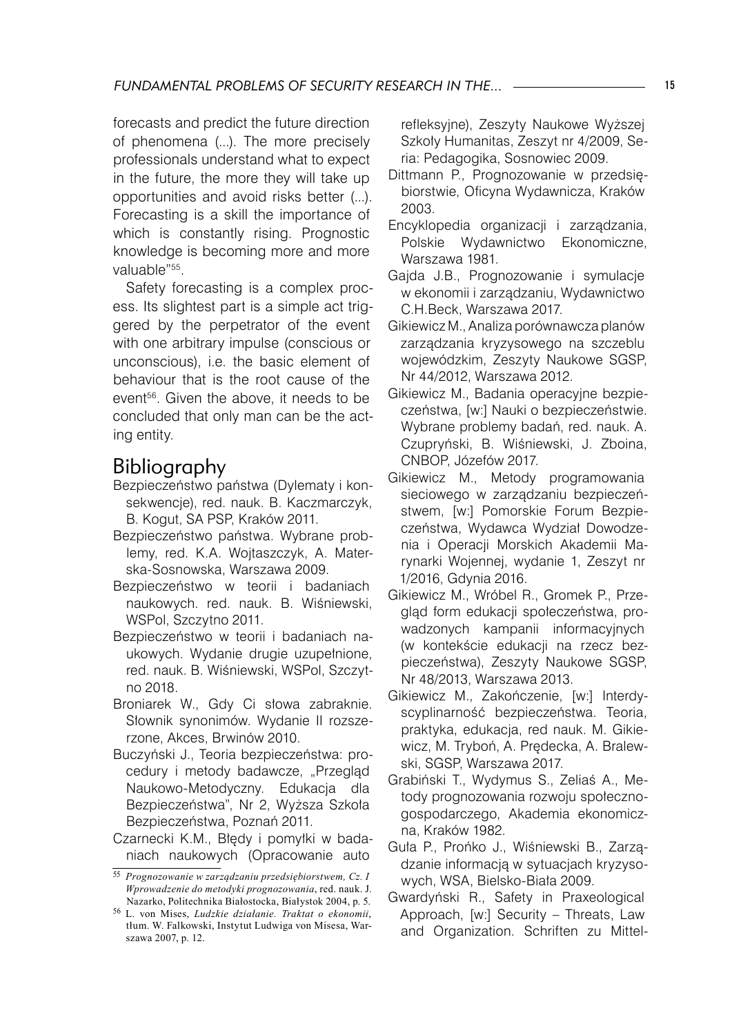forecasts and predict the future direction of phenomena (...). The more precisely professionals understand what to expect in the future, the more they will take up opportunities and avoid risks better (...). Forecasting is a skill the importance of which is constantly rising. Prognostic knowledge is becoming more and more valuable"55.

Safety forecasting is a complex process. Its slightest part is a simple act triggered by the perpetrator of the event with one arbitrary impulse (conscious or unconscious), i.e. the basic element of behaviour that is the root cause of the event<sup>56</sup>. Given the above, it needs to be concluded that only man can be the acting entity.

## Bibliography

- Bezpieczeństwo państwa (Dylematy i konsekwencje), red. nauk. B. Kaczmarczyk, B. Kogut, SA PSP, Kraków 2011.
- Bezpieczeństwo państwa. Wybrane problemy, red. K.A. Wojtaszczyk, A. Materska-Sosnowska, Warszawa 2009.
- Bezpieczeństwo w teorii i badaniach naukowych. red. nauk. B. Wiśniewski, WSPol, Szczytno 2011.
- Bezpieczeństwo w teorii i badaniach naukowych. Wydanie drugie uzupełnione, red. nauk. B. Wiśniewski, WSPol, Szczytno 2018.
- Broniarek W., Gdy Ci słowa zabraknie. Słownik synonimów. Wydanie II rozszerzone, Akces, Brwinów 2010.
- Buczyński J., Teoria bezpieczeństwa: procedury i metody badawcze, "Przegląd Naukowo-Metodyczny. Edukacja dla Bezpieczeństwa", Nr 2, Wyższa Szkoła Bezpieczeństwa, Poznań 2011.
- Czarnecki K.M., Błędy i pomyłki w badaniach naukowych (Opracowanie auto

refleksyjne), Zeszyty Naukowe Wyższej Szkoły Humanitas, Zeszyt nr 4/2009, Seria: Pedagogika, Sosnowiec 2009.

- Dittmann P., Prognozowanie w przedsiębiorstwie, Oficyna Wydawnicza, Kraków 2003.
- Encyklopedia organizacji i zarządzania, Polskie Wydawnictwo Ekonomiczne, Warszawa 1981.
- Gajda J.B., Prognozowanie i symulacje w ekonomii i zarządzaniu, Wydawnictwo C.H.Beck, Warszawa 2017.
- Gikiewicz M., Analiza porównawcza planów zarządzania kryzysowego na szczeblu wojewódzkim, Zeszyty Naukowe SGSP, Nr 44/2012, Warszawa 2012.
- Gikiewicz M., Badania operacyjne bezpieczeństwa, [w:] Nauki o bezpieczeństwie. Wybrane problemy badań, red. nauk. A. Czupryński, B. Wiśniewski, J. Zboina, CNBOP, Józefów 2017.
- Gikiewicz M., Metody programowania sieciowego w zarządzaniu bezpieczeństwem, [w:] Pomorskie Forum Bezpieczeństwa, Wydawca Wydział Dowodzenia i Operacji Morskich Akademii Marynarki Wojennej, wydanie 1, Zeszyt nr 1/2016, Gdynia 2016.
- Gikiewicz M., Wróbel R., Gromek P., Przegląd form edukacji społeczeństwa, prowadzonych kampanii informacyjnych (w kontekście edukacji na rzecz bezpieczeństwa), Zeszyty Naukowe SGSP, Nr 48/2013, Warszawa 2013.
- Gikiewicz M., Zakończenie, [w:] Interdyscyplinarność bezpieczeństwa. Teoria, praktyka, edukacja, red nauk. M. Gikiewicz, M. Tryboń, A. Prędecka, A. Bralewski, SGSP, Warszawa 2017.
- Grabiński T., Wydymus S., Zeliaś A., Metody prognozowania rozwoju społecznogospodarczego, Akademia ekonomiczna, Kraków 1982.
- Guła P., Prońko J., Wiśniewski B., Zarządzanie informacją w sytuacjach kryzysowych, WSA, Bielsko-Biała 2009.
- Gwardyński R., Safety in Praxeological Approach, [w:] Security – Threats, Law and Organization. Schriften zu Mittel-

<sup>55</sup> *Prognozowanie w zarządzaniu przedsiębiorstwem, Cz. I Wprowadzenie do metodyki prognozowania*, red. nauk. J. Nazarko, Politechnika Białostocka, Białystok 2004, p. 5.

<sup>56</sup> L. von Mises, *Ludzkie działanie. Traktat o ekonomii*, tłum. W. Falkowski, Instytut Ludwiga von Misesa, Warszawa 2007, p. 12.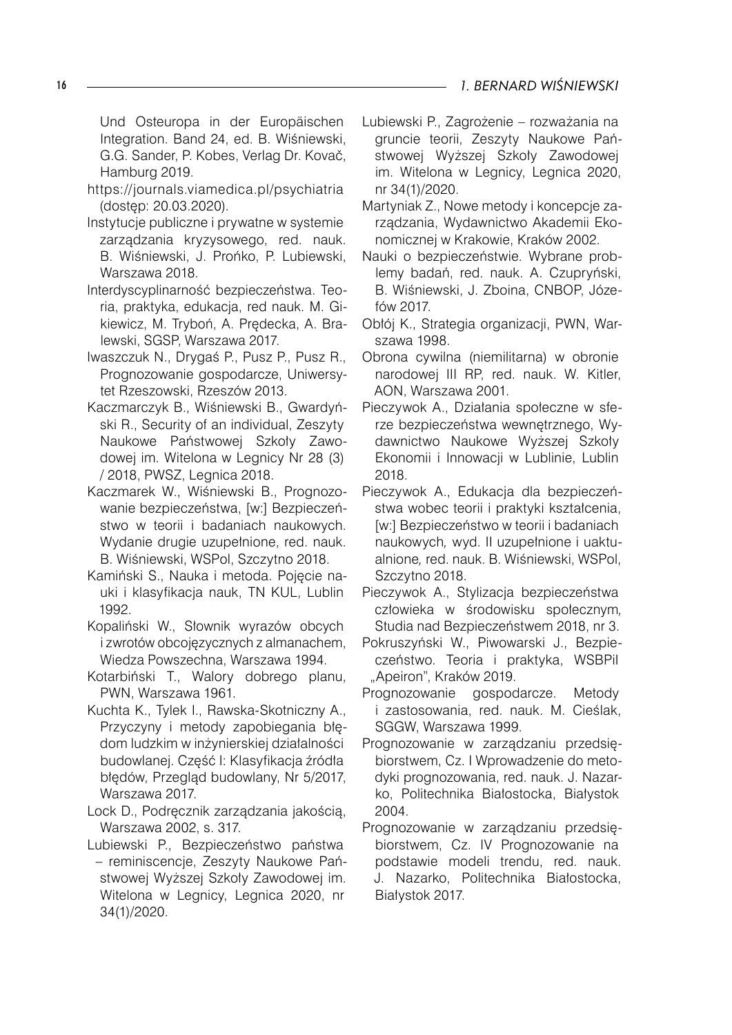#### 16 *1. BERNARD WIŚNIEWSKI*

Und Osteuropa in der Europäischen Integration. Band 24, ed. B. Wiśniewski, G.G. Sander, P. Kobes, Verlag Dr. Kovač, Hamburg 2019.

- https://journals.viamedica.pl/psychiatria (dostęp: 20.03.2020).
- Instytucje publiczne i prywatne w systemie zarządzania kryzysowego, red. nauk. B. Wiśniewski, J. Prońko, P. Lubiewski, Warszawa 2018.
- Interdyscyplinarność bezpieczeństwa. Teoria, praktyka, edukacja, red nauk. M. Gikiewicz, M. Tryboń, A. Prędecka, A. Bralewski, SGSP, Warszawa 2017.
- Iwaszczuk N., Drygaś P., Pusz P., Pusz R., Prognozowanie gospodarcze, Uniwersytet Rzeszowski, Rzeszów 2013.
- Kaczmarczyk B., Wiśniewski B., Gwardyński R., Security of an individual, Zeszyty Naukowe Państwowej Szkoły Zawodowej im. Witelona w Legnicy Nr 28 (3) / 2018, PWSZ, Legnica 2018.
- Kaczmarek W., Wiśniewski B., Prognozowanie bezpieczeństwa, [w:] Bezpieczeństwo w teorii i badaniach naukowych. Wydanie drugie uzupełnione, red. nauk. B. Wiśniewski, WSPol, Szczytno 2018.
- Kamiński S., Nauka i metoda. Pojęcie nauki i klasyfikacja nauk, TN KUL, Lublin 1992.
- Kopaliński W., Słownik wyrazów obcych i zwrotów obcojęzycznych z almanachem, Wiedza Powszechna, Warszawa 1994.
- Kotarbiński T., Walory dobrego planu, PWN, Warszawa 1961.
- Kuchta K., Tylek I., Rawska-Skotniczny A., Przyczyny i metody zapobiegania błędom ludzkim w inżynierskiej działalności budowlanej. Część I: Klasyfikacja źródła błędów, Przegląd budowlany, Nr 5/2017, Warszawa 2017.
- Lock D., Podręcznik zarządzania jakością, Warszawa 2002, s. 317.
- Lubiewski P., Bezpieczeństwo państwa – reminiscencje, Zeszyty Naukowe Państwowej Wyższej Szkoły Zawodowej im. Witelona w Legnicy, Legnica 2020, nr 34(1)/2020.
- Lubiewski P., Zagrożenie rozważania na gruncie teorii, Zeszyty Naukowe Państwowej Wyższej Szkoły Zawodowej im. Witelona w Legnicy, Legnica 2020, nr 34(1)/2020.
- Martyniak Z., Nowe metody i koncepcje zarządzania, Wydawnictwo Akademii Ekonomicznej w Krakowie, Kraków 2002.
- Nauki o bezpieczeństwie. Wybrane problemy badań, red. nauk. A. Czupryński, B. Wiśniewski, J. Zboina, CNBOP, Józefów 2017.
- Obłój K., Strategia organizacji, PWN, Warszawa 1998.
- Obrona cywilna (niemilitarna) w obronie narodowej III RP, red. nauk. W. Kitler, AON, Warszawa 2001.
- Pieczywok A., Działania społeczne w sferze bezpieczeństwa wewnętrznego, Wydawnictwo Naukowe Wyższej Szkoły Ekonomii i Innowacji w Lublinie, Lublin 2018.
- Pieczywok A., Edukacja dla bezpieczeństwa wobec teorii i praktyki kształcenia, [w:] Bezpieczeństwo w teorii i badaniach naukowych*,* wyd. II uzupełnione i uaktualnione*,* red. nauk. B. Wiśniewski, WSPol, Szczytno 2018.
- Pieczywok A., Stylizacja bezpieczeństwa człowieka w środowisku społecznym*,*  Studia nad Bezpieczeństwem 2018, nr 3.
- Pokruszyński W., Piwowarski J., Bezpieczeństwo. Teoria i praktyka, WSBPiI "Apeiron", Kraków 2019.
- Prognozowanie gospodarcze. Metody i zastosowania, red. nauk. M. Cieślak, SGGW, Warszawa 1999.
- Prognozowanie w zarządzaniu przedsiębiorstwem, Cz. I Wprowadzenie do metodyki prognozowania, red. nauk. J. Nazarko, Politechnika Białostocka, Białystok 2004.
- Prognozowanie w zarządzaniu przedsiębiorstwem, Cz. IV Prognozowanie na podstawie modeli trendu, red. nauk. J. Nazarko, Politechnika Białostocka, Białystok 2017.